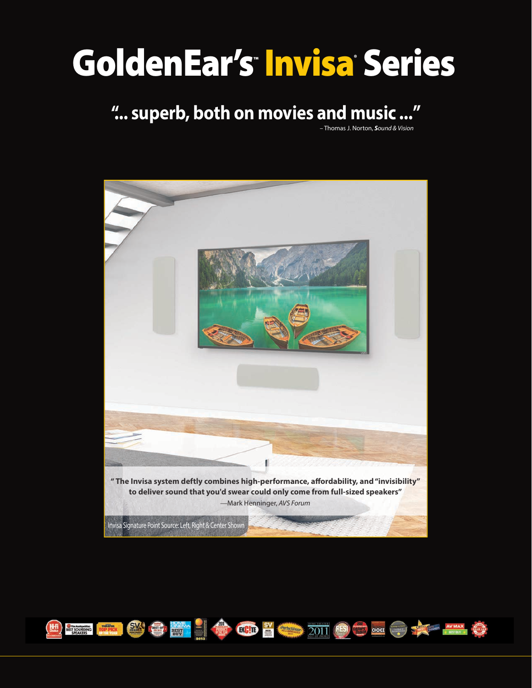# GoldenEar's Invisa Series

# **"... superb, both on movies and music ..."**

– Thomas J. Norton, *Sound & Vision*



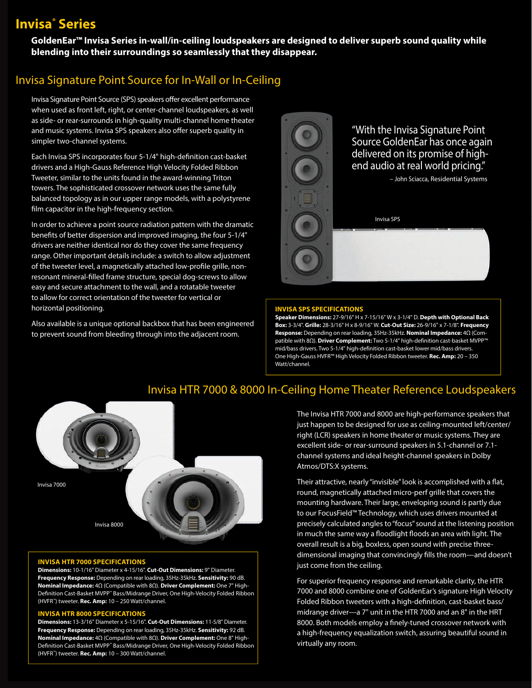# **Invisa® Series**

**GoldenEar™ Invisa Series in-wall/in-ceiling loudspeakers are designed to deliver superb sound quality while blending into their surroundings so seamlessly that they disappear.** 

## Invisa Signature Point Source for In-Wall or In-Ceiling

Invisa Signature Point Source (SPS) speakers offer excellent performance when used as front left, right, or center-channel loudspeakers, as well as side- or rear-surrounds in high-quality multi-channel home theater and music systems. Invisa SPS speakers also offer superb quality in simpler two-channel systems.

Each Invisa SPS incorporates four 5-1/4" high-definition cast-basket drivers and a High-Gauss Reference High Velocity Folded Ribbon Tweeter, similar to the units found in the award-winning Triton towers. The sophisticated crossover network uses the same fully balanced topology as in our upper range models, with a polystyrene film capacitor in the high-frequency section.

In order to achieve a point source radiation pattern with the dramatic benefits of better dispersion and improved imaging, the four 5-1/4" drivers are neither identical nor do they cover the same frequency range. Other important details include: a switch to allow adjustment of the tweeter level, a magnetically attached low-profile grille, nonresonant mineral-filled frame structure, special dog-screws to allow easy and secure attachment to the wall, and a rotatable tweeter to allow for correct orientation of the tweeter for vertical or horizontal positioning.

Also available is a unique optional backbox that has been engineered to prevent sound from bleeding through into the adjacent room.



"With the Invisa Signature Point Source GoldenEar has once again delivered on its promise of highend audio at real world pricing."

– John Sciacca, Residential Systems

Invisa SPS

#### **INVISA SPS SPECIFICATIONS**

**Speaker Dimensions:** 27-9/16" H x 7-15/16" W x 3-1/4" D. **Depth with Optional Back Box:** 3-3/4". **Grille:** 28-3/16" H x 8-9/16" W. **Cut-Out Size:** 26-9/16" x 7-1/8". **Frequency Response:** Depending on rear loading, 35Hz-35kHz. **Nominal Impedance:** 4Ω (Compatible with 8Ω). **Driver Complement:** Two 5-1/4" high-definition cast-basket MVPP™ mid/bass drivers. Two 5-1/4" high-definition cast-basket lower mid/bass drivers. One High-Gauss HVFR™ High Velocity Folded Ribbon tweeter. **Rec. Amp:** 20 – 350 Watt/channel.

# Invisa HTR 7000 & 8000 In-Ceiling Home Theater Reference Loudspeakers



#### **INVISA HTR 7000 SPECIFICATIONS**

**Dimensions:** 10-1/16" Diameter x 4-15/16". **Cut-Out Dimensions:** 9" Diameter. **Frequency Response:** Depending on rear loading, 35Hz-35kHz. **Sensitivity:** 90 dB. **Nominal Impedance:** 4Ω (Compatible with 8Ω). **Driver Complement:** One 7" High-Definition Cast-Basket MVPP" Bass/Midrange Driver, One High-Velocity Folded Ribbon (HVFR™) tweeter. **Rec. Amp:** 10 – 250 Watt/channel.

#### **INVISA HTR 8000 SPECIFICATIONS**

**Dimensions:** 13-3/16" Diameter x 5-15/16". **Cut-Out Dimensions:** 11-5/8" Diameter. **Frequency Response:** Depending on rear loading, 35Hz-35kHz. **Sensitivity:** 92 dB. **Nominal Impedance:** 4Ω (Compatible with 8Ω). **Driver Complement:** One 8" High-Definition Cast-Basket MVPP<sup>™</sup> Bass/Midrange Driver, One High-Velocity Folded Ribbon (HVFR™) tweeter. **Rec. Amp:** 10 – 300 Watt/channel.

The Invisa HTR 7000 and 8000 are high-performance speakers that just happen to be designed for use as ceiling-mounted left/center/ right (LCR) speakers in home theater or music systems. They are excellent side- or rear-surround speakers in 5.1-channel or 7.1 channel systems and ideal height-channel speakers in Dolby Atmos/DTS:X systems.

Their attractive, nearly "invisible" look is accomplished with a flat, round, magnetically attached micro-perf grille that covers the mounting hardware. Their large, enveloping sound is partly due to our FocusField™ Technology, which uses drivers mounted at precisely calculated angles to "focus" sound at the listening position in much the same way a floodlight floods an area with light. The overall result is a big, boxless, open sound with precise threedimensional imaging that convincingly fills the room—and doesn't just come from the ceiling.

For superior frequency response and remarkable clarity, the HTR 7000 and 8000 combine one of GoldenEar's signature High Velocity Folded Ribbon tweeters with a high-definition, cast-basket bass/ midrange driver—a 7" unit in the HTR 7000 and an 8" in the HRT 8000. Both models employ a finely-tuned crossover network with a high-frequency equalization switch, assuring beautiful sound in virtually any room.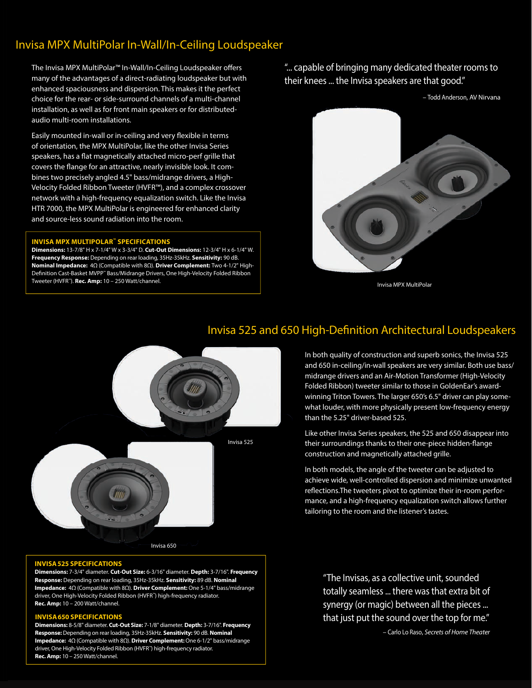# Invisa MPX MultiPolar In-Wall/In-Ceiling Loudspeaker

The Invisa MPX MultiPolar™ In-Wall/In-Ceiling Loudspeaker offers many of the advantages of a direct-radiating loudspeaker but with enhanced spaciousness and dispersion. This makes it the perfect choice for the rear- or side-surround channels of a multi-channel installation, as well as for front main speakers or for distributedaudio multi-room installations.

Easily mounted in-wall or in-ceiling and very flexible in terms of orientation, the MPX MultiPolar, like the other Invisa Series speakers, has a flat magnetically attached micro-perf grille that covers the flange for an attractive, nearly invisible look. It combines two precisely angled 4.5" bass/midrange drivers, a High-Velocity Folded Ribbon Tweeter (HVFR™), and a complex crossover network with a high-frequency equalization switch. Like the Invisa HTR 7000, the MPX MultiPolar is engineered for enhanced clarity and source-less sound radiation into the room.

#### **INVISA MPX MULTIPOLAR™ SPECIFICATIONS**

**Dimensions:** 13-7/8" H x 7-1/4" W x 3-3/4" D. **Cut-Out Dimensions:** 12-3/4" H x 6-1/4" W. **Frequency Response:** Depending on rear loading, 35Hz-35kHz. **Sensitivity:** 90 dB. **Nominal Impedance:** 4Ω (Compatible with 8Ω). **Driver Complement:** Two 4-1/2" High-Definition Cast-Basket MVPP<sup>™</sup> Bass/Midrange Drivers, One High-Velocity Folded Ribbon Tweeter (HVFR™). **Rec. Amp:** 10 – 250 Watt/channel.

"... capable of bringing many dedicated theater rooms to their knees ... the Invisa speakers are that good."



Invisa MPX MultiPolar

In both quality of construction and superb sonics, the Invisa 525 and 650 in-ceiling/in-wall speakers are very similar. Both use bass/ midrange drivers and an Air-Motion Transformer (High-Velocity Folded Ribbon) tweeter similar to those in GoldenEar's awardwinning Triton Towers. The larger 650's 6.5" driver can play somewhat louder, with more physically present low-frequency energy

### Invisa 525 and 650 High-Definition Architectural Loudspeakers

than the 5.25" driver-based 525.



Like other Invisa Series speakers, the 525 and 650 disappear into their surroundings thanks to their one-piece hidden-flange construction and magnetically attached grille. In both models, the angle of the tweeter can be adjusted to

achieve wide, well-controlled dispersion and minimize unwanted reflections. The tweeters pivot to optimize their in-room performance, and a high-frequency equalization switch allows further tailoring to the room and the listener's tastes.

#### **INVISA 525 SPECIFICATIONS**

**Dimensions:** 7-3/4" diameter. **Cut-Out Size:** 6-3/16" diameter. **Depth:** 3-7/16". **Frequency Response:** Depending on rear loading, 35Hz-35kHz. **Sensitivity:** 89 dB. **Nominal Impedance:** 4Ω (Compatible with 8Ω). **Driver Complement:** One 5-1/4" bass/midrange driver, One High-Velocity Folded Ribbon (HVFR™) high-frequency radiator. **Rec. Amp:** 10 – 200 Watt/channel.

#### **INVISA 650 SPECIFICATIONS**

**Dimensions:** 8-5/8" diameter. **Cut-Out Size:** 7-1/8" diameter. **Depth:** 3-7/16". **Frequency Response:** Depending on rear loading, 35Hz-35kHz. **Sensitivity:** 90 dB. **Nominal Impedance:** 4Ω (Compatible with 8Ω). **Driver Complement:** One 6-1/2" bass/midrange driver, One High-Velocity Folded Ribbon (HVFR™) high-frequency radiator. **Rec. Amp:** 10 – 250 Watt/channel.

"The Invisas, as a collective unit, sounded totally seamless ... there was that extra bit of synergy (or magic) between all the pieces ... that just put the sound over the top for me."

– Carlo Lo Raso, *Secrets of Home Theater*